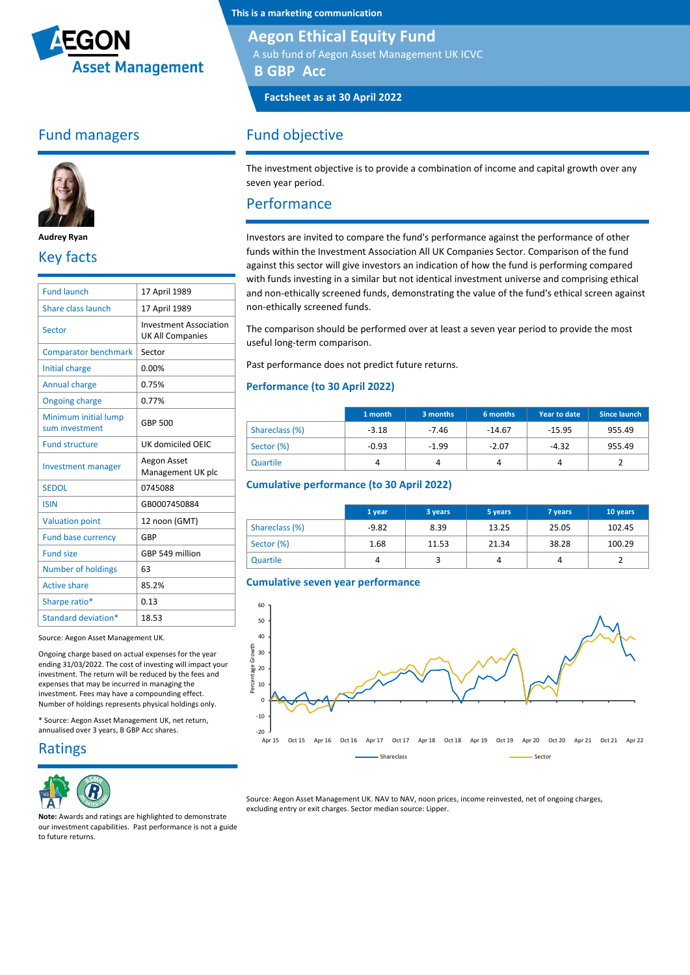

## Fund managers



**Audrey Ryan**

## Key facts

| <b>Fund launch</b>                     | 17 April 1989                                            |
|----------------------------------------|----------------------------------------------------------|
| Share class launch                     | 17 April 1989                                            |
| Sector                                 | <b>Investment Association</b><br><b>UK All Companies</b> |
| <b>Comparator benchmark</b>            | Sector                                                   |
| Initial charge                         | 0.00%                                                    |
| <b>Annual charge</b>                   | 0.75%                                                    |
| <b>Ongoing charge</b>                  | 0.77%                                                    |
| Minimum initial lump<br>sum investment | <b>GBP 500</b>                                           |
| <b>Fund structure</b>                  | UK domiciled OEIC                                        |
| <b>Investment manager</b>              | Aegon Asset<br>Management UK plc                         |
| <b>SEDOL</b>                           | 0745088                                                  |
| <b>ISIN</b>                            | GB0007450884                                             |
| <b>Valuation point</b>                 | 12 noon (GMT)                                            |
| Fund base currency                     | GBP                                                      |
| <b>Fund size</b>                       | GBP 549 million                                          |
| <b>Number of holdings</b>              | 63                                                       |
| <b>Active share</b>                    | 85.2%                                                    |
| Sharpe ratio*                          | 0.13                                                     |
| Standard deviation*                    | 18.53                                                    |

Source: Aegon Asset Management UK.

Ongoing charge based on actual expenses for the year ending 31/03/2022. The cost of investing will impact your investment. The return will be reduced by the fees and expenses that may be incurred in managing the investment. Fees may have a compounding effect. Number of holdings represents physical holdings only.

\* Source: Aegon Asset Management UK, net return, annualised over 3 years, B GBP Acc shares.

### Ratings



**This is a marketing communication**

### **Aegon Ethical Equity Fund**

A sub fund of Aegon Asset Management UK ICVC

**B GBP Acc**

**Factsheet as at 30 April 2022**

## Fund objective

The investment objective is to provide a combination of income and capital growth over any seven year period.

### Performance

Investors are invited to compare the fund's performance against the performance of other funds within the Investment Association All UK Companies Sector. Comparison of the fund against this sector will give investors an indication of how the fund is performing compared with funds investing in a similar but not identical investment universe and comprising ethical and non-ethically screened funds, demonstrating the value of the fund's ethical screen against non-ethically screened funds.

The comparison should be performed over at least a seven year period to provide the most useful long-term comparison.

Past performance does not predict future returns.

#### **Performance (to 30 April 2022)**

|                | 1 month | 3 months | 6 months | Year to date | Since launch |
|----------------|---------|----------|----------|--------------|--------------|
| Shareclass (%) | $-3.18$ | $-7.46$  | $-14.67$ | $-15.95$     | 955.49       |
| Sector (%)     | $-0.93$ | $-1.99$  | $-2.07$  | $-4.32$      | 955.49       |
| Quartile       | 4       |          |          |              |              |

#### **Cumulative performance (to 30 April 2022)**

|                | 1 year  | 3 years | 5 years | 7 years | 10 years |
|----------------|---------|---------|---------|---------|----------|
| Shareclass (%) | $-9.82$ | 8.39    | 13.25   | 25.05   | 102.45   |
| Sector (%)     | 1.68    | 11.53   | 21.34   | 38.28   | 100.29   |
| Quartile       | 4       |         |         | 4       |          |

#### **Cumulative seven year performance**



Source: Aegon Asset Management UK. NAV to NAV, noon prices, income reinvested, net of ongoing charges, excluding entry or exit charges. Sector median source: Lipper.

**Note:** Awards and ratings are highlighted to demonstrate our investment capabilities. Past performance is not a guide to future returns.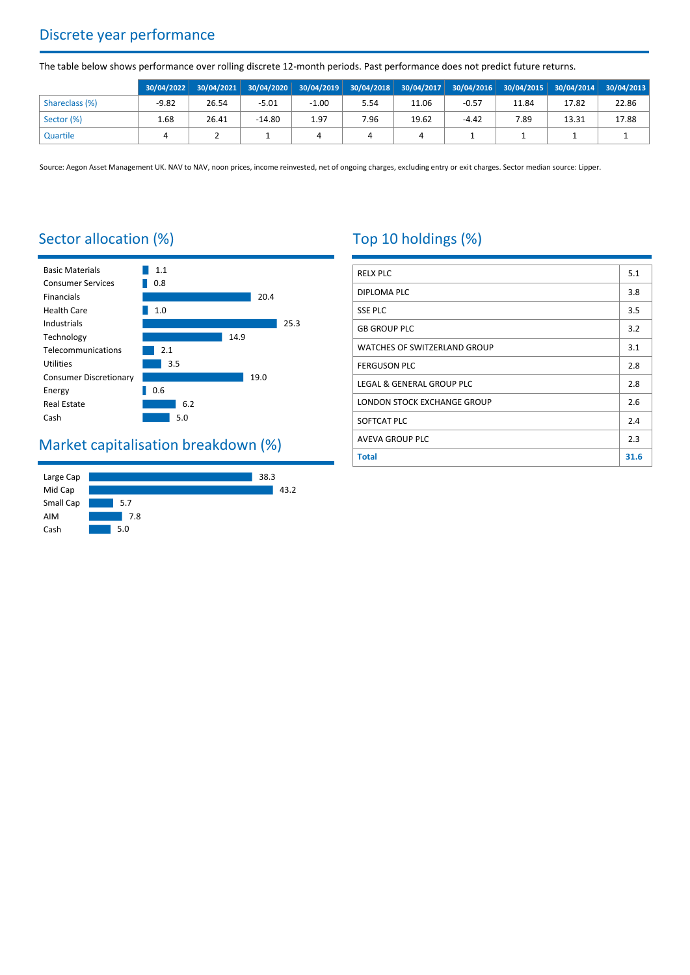# Discrete year performance

The table below shows performance over rolling discrete 12-month periods. Past performance does not predict future returns.

|                |         |       |          |         | 30/04/2022 30/04/2021 30/04/2020 30/04/2019 30/04/2018 30/04/2017 30/04/2016 30/04/2015 30/04/2014 30/04/2013 |       |         |       |       |       |
|----------------|---------|-------|----------|---------|---------------------------------------------------------------------------------------------------------------|-------|---------|-------|-------|-------|
| Shareclass (%) | $-9.82$ | 26.54 | $-5.01$  | $-1.00$ | 5.54                                                                                                          | 11.06 | $-0.57$ | 11.84 | 17.82 | 22.86 |
| Sector (%)     | 1.68    | 26.41 | $-14.80$ | 1.97    | 7.96                                                                                                          | 19.62 | $-4.42$ | 7.89  | 13.31 | 17.88 |
| Quartile       |         |       |          |         |                                                                                                               |       |         |       |       |       |

Source: Aegon Asset Management UK. NAV to NAV, noon prices, income reinvested, net of ongoing charges, excluding entry or exit charges. Sector median source: Lipper.

# Sector allocation (%)



# Market capitalisation breakdown (%)



# Top 10 holdings (%)

| <b>RELX PLC</b>              | 5.1  |
|------------------------------|------|
| DIPLOMA PLC                  | 3.8  |
| <b>SSE PLC</b>               | 3.5  |
| <b>GB GROUP PLC</b>          | 3.2  |
| WATCHES OF SWITZERLAND GROUP | 3.1  |
| <b>FERGUSON PLC</b>          | 2.8  |
| LEGAL & GENERAL GROUP PLC    | 2.8  |
| LONDON STOCK EXCHANGE GROUP  | 2.6  |
| SOFTCAT PLC                  | 2.4  |
| <b>AVEVA GROUP PLC</b>       | 2.3  |
| <b>Total</b>                 | 31.6 |